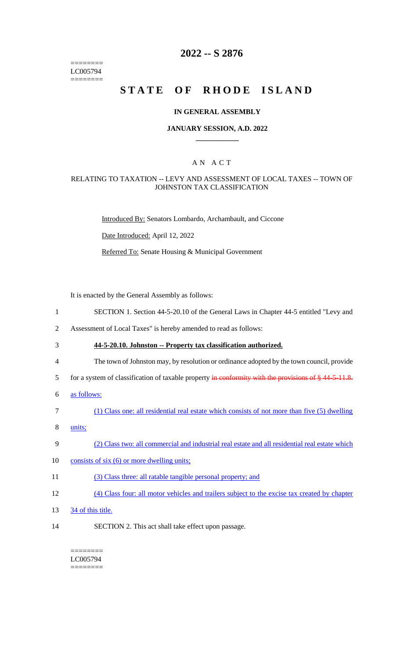======== LC005794 ========

# **2022 -- S 2876**

# **STATE OF RHODE ISLAND**

#### **IN GENERAL ASSEMBLY**

#### **JANUARY SESSION, A.D. 2022 \_\_\_\_\_\_\_\_\_\_\_\_**

### A N A C T

#### RELATING TO TAXATION -- LEVY AND ASSESSMENT OF LOCAL TAXES -- TOWN OF JOHNSTON TAX CLASSIFICATION

Introduced By: Senators Lombardo, Archambault, and Ciccone

Date Introduced: April 12, 2022

Referred To: Senate Housing & Municipal Government

It is enacted by the General Assembly as follows:

- 1 SECTION 1. Section 44-5-20.10 of the General Laws in Chapter 44-5 entitled "Levy and
- 2 Assessment of Local Taxes" is hereby amended to read as follows:
- 3 **44-5-20.10. Johnston -- Property tax classification authorized.**
- 4 The town of Johnston may, by resolution or ordinance adopted by the town council, provide
- 5 for a system of classification of taxable property in conformity with the provisions of § 44-5-11.8.
- 6 as follows:
- 7 (1) Class one: all residential real estate which consists of not more than five (5) dwelling
- 8 units;
- 9 (2) Class two: all commercial and industrial real estate and all residential real estate which
- 10 consists of six (6) or more dwelling units;
- 11 (3) Class three: all ratable tangible personal property; and
- 12 (4) Class four: all motor vehicles and trailers subject to the excise tax created by chapter
- 13 34 of this title.
- 14 SECTION 2. This act shall take effect upon passage.

#### ======== LC005794

========